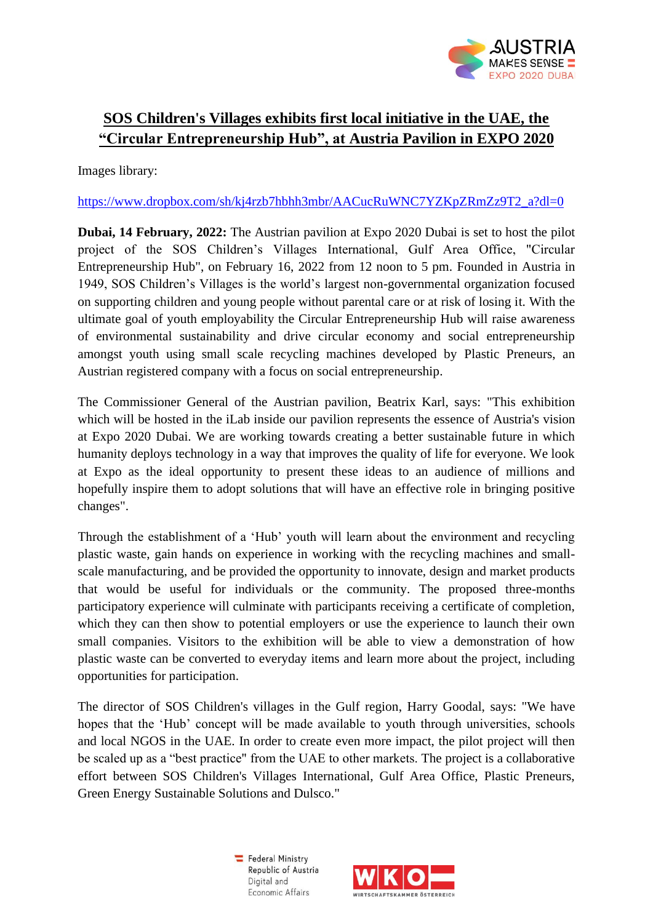

## **SOS Children's Villages exhibits first local initiative in the UAE, the "Circular Entrepreneurship Hub", at Austria Pavilion in EXPO 2020**

Images library:

## https://www.dropbox.com/sh/ki4rzb7hbhh3mbr/AACucRuWNC7YZKpZRmZz9T2\_a?dl=0

**Dubai, 14 February, 2022:** The Austrian pavilion at Expo 2020 Dubai is set to host the pilot project of the SOS Children's Villages International, Gulf Area Office, "Circular Entrepreneurship Hub", on February 16, 2022 from 12 noon to 5 pm. Founded in Austria in 1949, SOS Children's Villages is the world's largest non-governmental organization focused on supporting children and young people without parental care or at risk of losing it. With the ultimate goal of youth employability the Circular Entrepreneurship Hub will raise awareness of environmental sustainability and drive circular economy and social entrepreneurship amongst youth using small scale recycling machines developed by Plastic Preneurs, an Austrian registered company with a focus on social entrepreneurship.

The Commissioner General of the Austrian pavilion, Beatrix Karl, says: "This exhibition which will be hosted in the iLab inside our pavilion represents the essence of Austria's vision at Expo 2020 Dubai. We are working towards creating a better sustainable future in which humanity deploys technology in a way that improves the quality of life for everyone. We look at Expo as the ideal opportunity to present these ideas to an audience of millions and hopefully inspire them to adopt solutions that will have an effective role in bringing positive changes".

Through the establishment of a 'Hub' youth will learn about the environment and recycling plastic waste, gain hands on experience in working with the recycling machines and smallscale manufacturing, and be provided the opportunity to innovate, design and market products that would be useful for individuals or the community. The proposed three-months participatory experience will culminate with participants receiving a certificate of completion, which they can then show to potential employers or use the experience to launch their own small companies. Visitors to the exhibition will be able to view a demonstration of how plastic waste can be converted to everyday items and learn more about the project, including opportunities for participation.

The director of SOS Children's villages in the Gulf region, Harry Goodal, says: "We have hopes that the 'Hub' concept will be made available to youth through universities, schools and local NGOS in the UAE. In order to create even more impact, the pilot project will then be scaled up as a "best practice" from the UAE to other markets. The project is a collaborative effort between SOS Children's Villages International, Gulf Area Office, Plastic Preneurs, Green Energy Sustainable Solutions and Dulsco."

> Federal Ministry Republic of Austria Digital and Economic Affairs